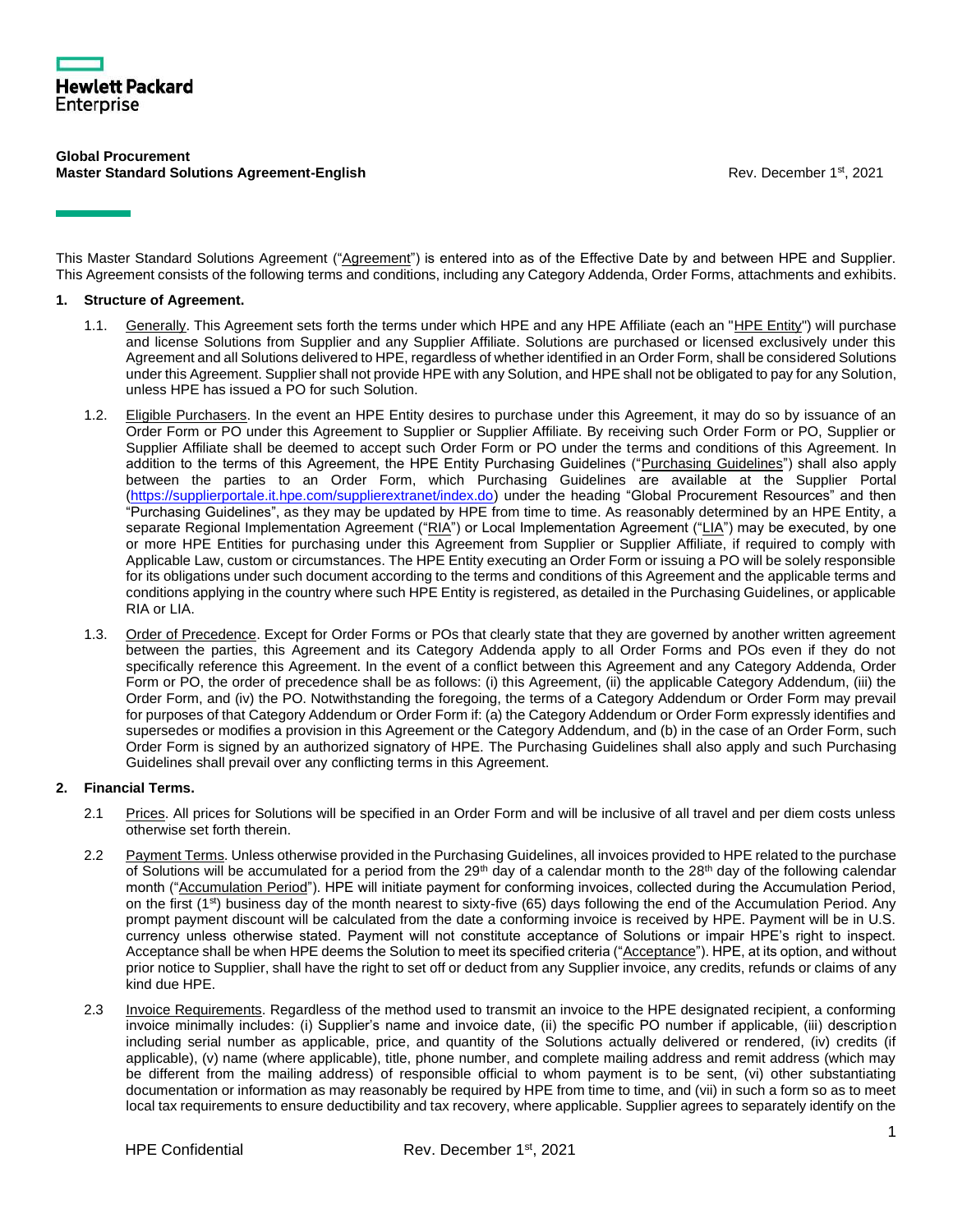

#### **Global Procurement Master Standard Solutions Agreement-English** Rev. December 1st, 2021

This Master Standard Solutions Agreement ("Agreement") is entered into as of the Effective Date by and between HPE and Supplier. This Agreement consists of the following terms and conditions, including any Category Addenda, Order Forms, attachments and exhibits.

# **1. Structure of Agreement.**

- 1.1. Generally. This Agreement sets forth the terms under which HPE and any HPE Affiliate (each an "HPE Entity") will purchase and license Solutions from Supplier and any Supplier Affiliate. Solutions are purchased or licensed exclusively under this Agreement and all Solutions delivered to HPE, regardless of whether identified in an Order Form, shall be considered Solutions under this Agreement. Supplier shall not provide HPE with any Solution, and HPE shall not be obligated to pay for any Solution, unless HPE has issued a PO for such Solution.
- 1.2. Eligible Purchasers. In the event an HPE Entity desires to purchase under this Agreement, it may do so by issuance of an Order Form or PO under this Agreement to Supplier or Supplier Affiliate. By receiving such Order Form or PO, Supplier or Supplier Affiliate shall be deemed to accept such Order Form or PO under the terms and conditions of this Agreement. In addition to the terms of this Agreement, the HPE Entity Purchasing Guidelines ("Purchasing Guidelines") shall also apply between the parties to an Order Form, which Purchasing Guidelines are available at the Supplier Portal [\(https://supplierportale.it.hpe.com/supplierextranet/index.do\)](https://supplierportale.it.hpe.com/supplierextranet/index.do) under the heading "Global Procurement Resources" and then "Purchasing Guidelines", as they may be updated by HPE from time to time. As reasonably determined by an HPE Entity, a separate Regional Implementation Agreement ("RIA") or Local Implementation Agreement ("LIA") may be executed, by one or more HPE Entities for purchasing under this Agreement from Supplier or Supplier Affiliate, if required to comply with Applicable Law, custom or circumstances. The HPE Entity executing an Order Form or issuing a PO will be solely responsible for its obligations under such document according to the terms and conditions of this Agreement and the applicable terms and conditions applying in the country where such HPE Entity is registered, as detailed in the Purchasing Guidelines, or applicable RIA or LIA.
- 1.3. Order of Precedence. Except for Order Forms or POs that clearly state that they are governed by another written agreement between the parties, this Agreement and its Category Addenda apply to all Order Forms and POs even if they do not specifically reference this Agreement. In the event of a conflict between this Agreement and any Category Addenda, Order Form or PO, the order of precedence shall be as follows: (i) this Agreement, (ii) the applicable Category Addendum, (iii) the Order Form, and (iv) the PO. Notwithstanding the foregoing, the terms of a Category Addendum or Order Form may prevail for purposes of that Category Addendum or Order Form if: (a) the Category Addendum or Order Form expressly identifies and supersedes or modifies a provision in this Agreement or the Category Addendum, and (b) in the case of an Order Form, such Order Form is signed by an authorized signatory of HPE. The Purchasing Guidelines shall also apply and such Purchasing Guidelines shall prevail over any conflicting terms in this Agreement.

# **2. Financial Terms.**

- 2.1 Prices. All prices for Solutions will be specified in an Order Form and will be inclusive of all travel and per diem costs unless otherwise set forth therein.
- 2.2 Payment Terms. Unless otherwise provided in the Purchasing Guidelines, all invoices provided to HPE related to the purchase of Solutions will be accumulated for a period from the 29<sup>th</sup> day of a calendar month to the 28<sup>th</sup> day of the following calendar month ("Accumulation Period"). HPE will initiate payment for conforming invoices, collected during the Accumulation Period, on the first (1<sup>st</sup>) business day of the month nearest to sixty-five (65) days following the end of the Accumulation Period. Any prompt payment discount will be calculated from the date a conforming invoice is received by HPE. Payment will be in U.S. currency unless otherwise stated. Payment will not constitute acceptance of Solutions or impair HPE's right to inspect. Acceptance shall be when HPE deems the Solution to meet its specified criteria ("Acceptance"). HPE, at its option, and without prior notice to Supplier, shall have the right to set off or deduct from any Supplier invoice, any credits, refunds or claims of any kind due HPE.
- 2.3 Invoice Requirements. Regardless of the method used to transmit an invoice to the HPE designated recipient, a conforming invoice minimally includes: (i) Supplier's name and invoice date, (ii) the specific PO number if applicable, (iii) description including serial number as applicable, price, and quantity of the Solutions actually delivered or rendered, (iv) credits (if applicable), (v) name (where applicable), title, phone number, and complete mailing address and remit address (which may be different from the mailing address) of responsible official to whom payment is to be sent, (vi) other substantiating documentation or information as may reasonably be required by HPE from time to time, and (vii) in such a form so as to meet local tax requirements to ensure deductibility and tax recovery, where applicable. Supplier agrees to separately identify on the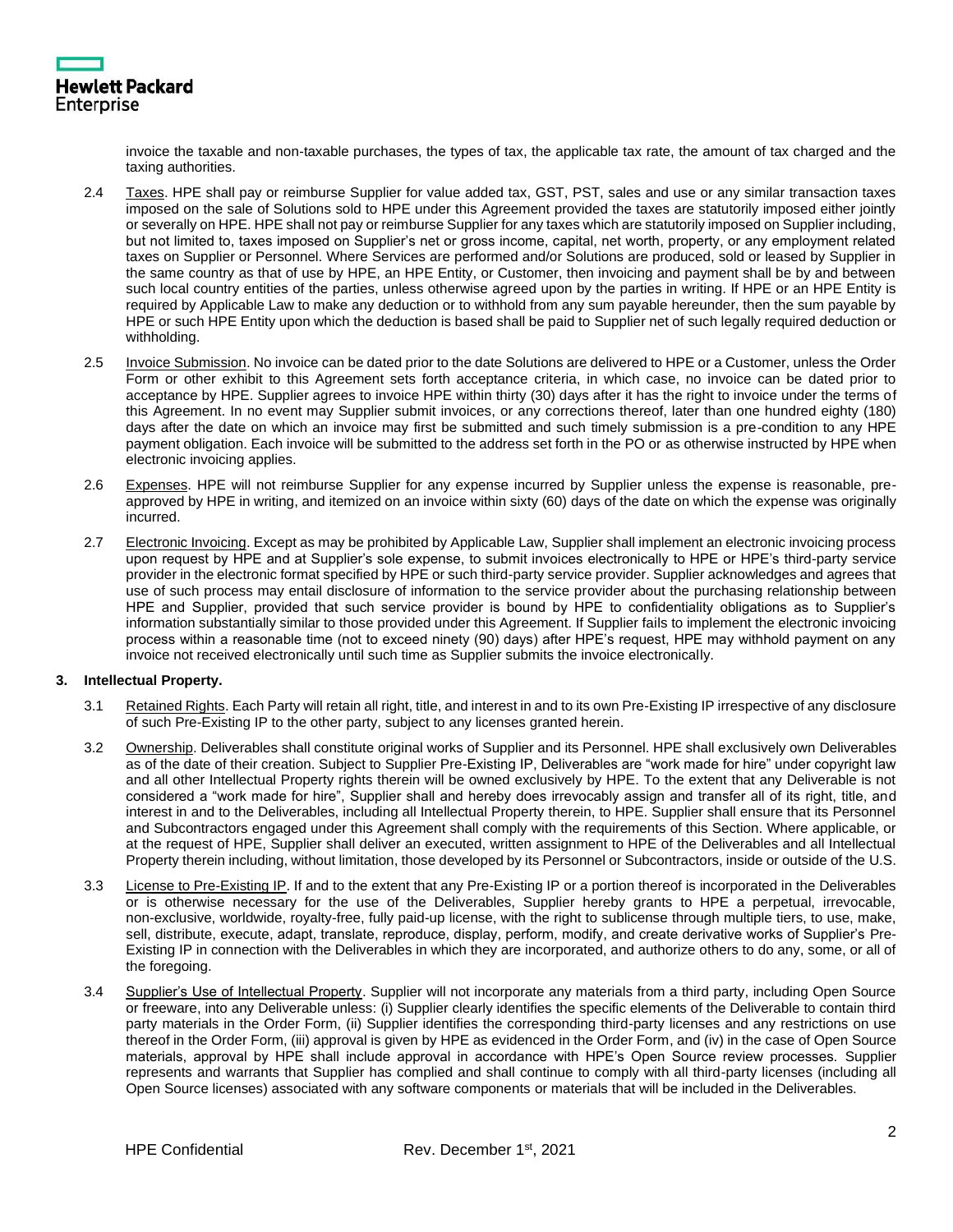

invoice the taxable and non-taxable purchases, the types of tax, the applicable tax rate, the amount of tax charged and the taxing authorities.

- 2.4 Taxes. HPE shall pay or reimburse Supplier for value added tax, GST, PST, sales and use or any similar transaction taxes imposed on the sale of Solutions sold to HPE under this Agreement provided the taxes are statutorily imposed either jointly or severally on HPE. HPE shall not pay or reimburse Supplier for any taxes which are statutorily imposed on Supplier including, but not limited to, taxes imposed on Supplier's net or gross income, capital, net worth, property, or any employment related taxes on Supplier or Personnel. Where Services are performed and/or Solutions are produced, sold or leased by Supplier in the same country as that of use by HPE, an HPE Entity, or Customer, then invoicing and payment shall be by and between such local country entities of the parties, unless otherwise agreed upon by the parties in writing. If HPE or an HPE Entity is required by Applicable Law to make any deduction or to withhold from any sum payable hereunder, then the sum payable by HPE or such HPE Entity upon which the deduction is based shall be paid to Supplier net of such legally required deduction or withholding.
- 2.5 Invoice Submission. No invoice can be dated prior to the date Solutions are delivered to HPE or a Customer, unless the Order Form or other exhibit to this Agreement sets forth acceptance criteria, in which case, no invoice can be dated prior to acceptance by HPE. Supplier agrees to invoice HPE within thirty (30) days after it has the right to invoice under the terms of this Agreement. In no event may Supplier submit invoices, or any corrections thereof, later than one hundred eighty (180) days after the date on which an invoice may first be submitted and such timely submission is a pre-condition to any HPE payment obligation. Each invoice will be submitted to the address set forth in the PO or as otherwise instructed by HPE when electronic invoicing applies.
- 2.6 Expenses. HPE will not reimburse Supplier for any expense incurred by Supplier unless the expense is reasonable, preapproved by HPE in writing, and itemized on an invoice within sixty (60) days of the date on which the expense was originally incurred.
- 2.7 Electronic Invoicing. Except as may be prohibited by Applicable Law, Supplier shall implement an electronic invoicing process upon request by HPE and at Supplier's sole expense, to submit invoices electronically to HPE or HPE's third-party service provider in the electronic format specified by HPE or such third-party service provider. Supplier acknowledges and agrees that use of such process may entail disclosure of information to the service provider about the purchasing relationship between HPE and Supplier, provided that such service provider is bound by HPE to confidentiality obligations as to Supplier's information substantially similar to those provided under this Agreement. If Supplier fails to implement the electronic invoicing process within a reasonable time (not to exceed ninety (90) days) after HPE's request, HPE may withhold payment on any invoice not received electronically until such time as Supplier submits the invoice electronically.

# **3. Intellectual Property.**

- 3.1 Retained Rights. Each Party will retain all right, title, and interest in and to its own Pre-Existing IP irrespective of any disclosure of such Pre-Existing IP to the other party, subject to any licenses granted herein.
- 3.2 Ownership. Deliverables shall constitute original works of Supplier and its Personnel. HPE shall exclusively own Deliverables as of the date of their creation. Subject to Supplier Pre-Existing IP, Deliverables are "work made for hire" under copyright law and all other Intellectual Property rights therein will be owned exclusively by HPE. To the extent that any Deliverable is not considered a "work made for hire", Supplier shall and hereby does irrevocably assign and transfer all of its right, title, and interest in and to the Deliverables, including all Intellectual Property therein, to HPE. Supplier shall ensure that its Personnel and Subcontractors engaged under this Agreement shall comply with the requirements of this Section. Where applicable, or at the request of HPE, Supplier shall deliver an executed, written assignment to HPE of the Deliverables and all Intellectual Property therein including, without limitation, those developed by its Personnel or Subcontractors, inside or outside of the U.S.
- 3.3 License to Pre-Existing IP. If and to the extent that any Pre-Existing IP or a portion thereof is incorporated in the Deliverables or is otherwise necessary for the use of the Deliverables, Supplier hereby grants to HPE a perpetual, irrevocable, non-exclusive, worldwide, royalty-free, fully paid-up license, with the right to sublicense through multiple tiers, to use, make, sell, distribute, execute, adapt, translate, reproduce, display, perform, modify, and create derivative works of Supplier's Pre-Existing IP in connection with the Deliverables in which they are incorporated, and authorize others to do any, some, or all of the foregoing.
- 3.4 Supplier's Use of Intellectual Property. Supplier will not incorporate any materials from a third party, including Open Source or freeware, into any Deliverable unless: (i) Supplier clearly identifies the specific elements of the Deliverable to contain third party materials in the Order Form, (ii) Supplier identifies the corresponding third-party licenses and any restrictions on use thereof in the Order Form, (iii) approval is given by HPE as evidenced in the Order Form, and (iv) in the case of Open Source materials, approval by HPE shall include approval in accordance with HPE's Open Source review processes. Supplier represents and warrants that Supplier has complied and shall continue to comply with all third-party licenses (including all Open Source licenses) associated with any software components or materials that will be included in the Deliverables.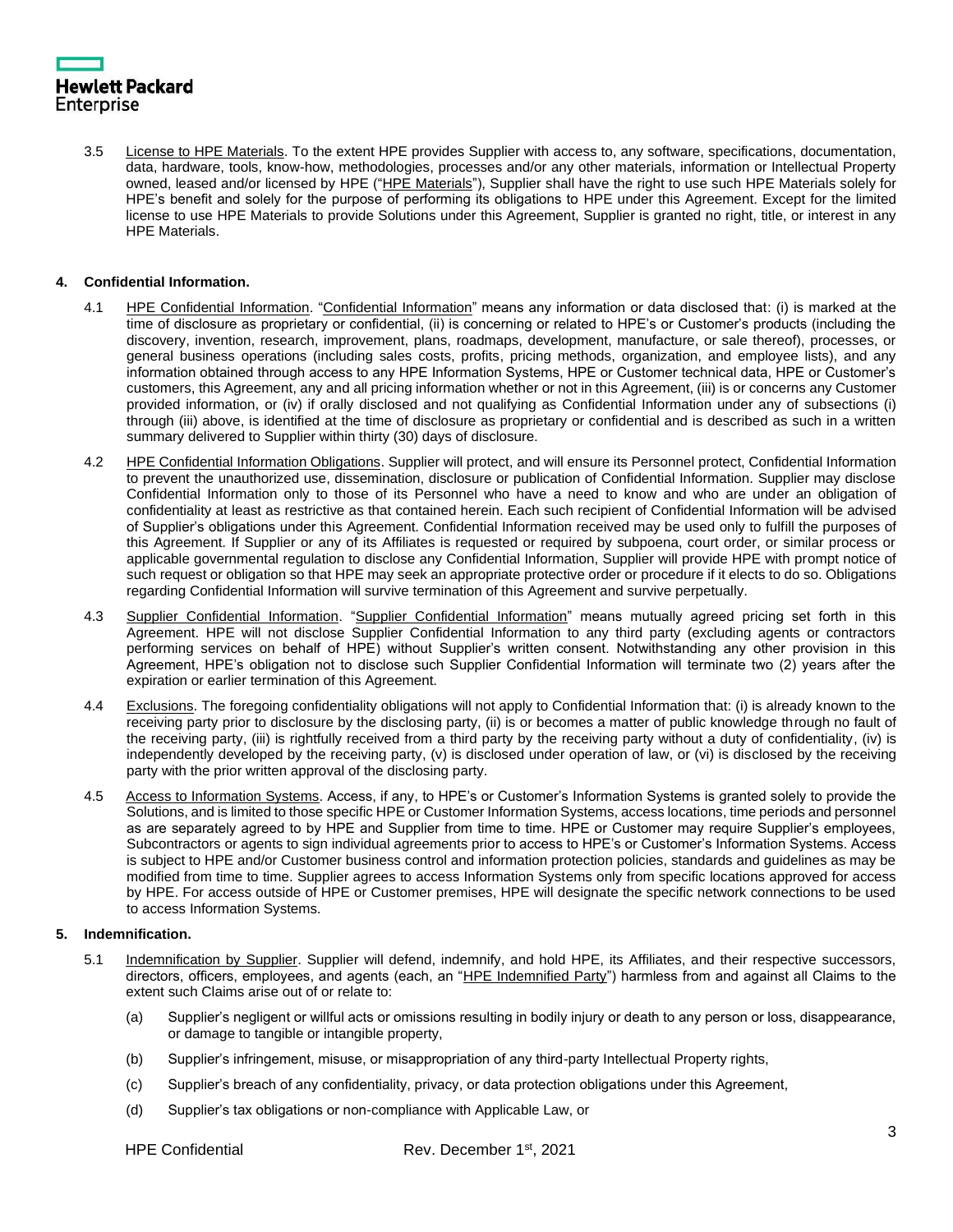3.5 License to HPE Materials. To the extent HPE provides Supplier with access to, any software, specifications, documentation, data, hardware, tools, know-how, methodologies, processes and/or any other materials, information or Intellectual Property owned, leased and/or licensed by HPE ("HPE Materials"), Supplier shall have the right to use such HPE Materials solely for HPE's benefit and solely for the purpose of performing its obligations to HPE under this Agreement. Except for the limited license to use HPE Materials to provide Solutions under this Agreement, Supplier is granted no right, title, or interest in any HPE Materials.

# **4. Confidential Information.**

- 4.1 HPE Confidential Information. "Confidential Information" means any information or data disclosed that: (i) is marked at the time of disclosure as proprietary or confidential, (ii) is concerning or related to HPE's or Customer's products (including the discovery, invention, research, improvement, plans, roadmaps, development, manufacture, or sale thereof), processes, or general business operations (including sales costs, profits, pricing methods, organization, and employee lists), and any information obtained through access to any HPE Information Systems, HPE or Customer technical data, HPE or Customer's customers, this Agreement, any and all pricing information whether or not in this Agreement, (iii) is or concerns any Customer provided information, or (iv) if orally disclosed and not qualifying as Confidential Information under any of subsections (i) through (iii) above, is identified at the time of disclosure as proprietary or confidential and is described as such in a written summary delivered to Supplier within thirty (30) days of disclosure.
- 4.2 HPE Confidential Information Obligations. Supplier will protect, and will ensure its Personnel protect, Confidential Information to prevent the unauthorized use, dissemination, disclosure or publication of Confidential Information. Supplier may disclose Confidential Information only to those of its Personnel who have a need to know and who are under an obligation of confidentiality at least as restrictive as that contained herein. Each such recipient of Confidential Information will be advised of Supplier's obligations under this Agreement. Confidential Information received may be used only to fulfill the purposes of this Agreement. If Supplier or any of its Affiliates is requested or required by subpoena, court order, or similar process or applicable governmental regulation to disclose any Confidential Information, Supplier will provide HPE with prompt notice of such request or obligation so that HPE may seek an appropriate protective order or procedure if it elects to do so. Obligations regarding Confidential Information will survive termination of this Agreement and survive perpetually.
- 4.3 Supplier Confidential Information. "Supplier Confidential Information" means mutually agreed pricing set forth in this Agreement. HPE will not disclose Supplier Confidential Information to any third party (excluding agents or contractors performing services on behalf of HPE) without Supplier's written consent. Notwithstanding any other provision in this Agreement, HPE's obligation not to disclose such Supplier Confidential Information will terminate two (2) years after the expiration or earlier termination of this Agreement.
- 4.4 Exclusions. The foregoing confidentiality obligations will not apply to Confidential Information that: (i) is already known to the receiving party prior to disclosure by the disclosing party, (ii) is or becomes a matter of public knowledge through no fault of the receiving party, (iii) is rightfully received from a third party by the receiving party without a duty of confidentiality, (iv) is independently developed by the receiving party, (v) is disclosed under operation of law, or (vi) is disclosed by the receiving party with the prior written approval of the disclosing party.
- 4.5 Access to Information Systems. Access, if any, to HPE's or Customer's Information Systems is granted solely to provide the Solutions, and is limited to those specific HPE or Customer Information Systems, access locations, time periods and personnel as are separately agreed to by HPE and Supplier from time to time. HPE or Customer may require Supplier's employees, Subcontractors or agents to sign individual agreements prior to access to HPE's or Customer's Information Systems. Access is subject to HPE and/or Customer business control and information protection policies, standards and guidelines as may be modified from time to time. Supplier agrees to access Information Systems only from specific locations approved for access by HPE. For access outside of HPE or Customer premises, HPE will designate the specific network connections to be used to access Information Systems.

# **5. Indemnification.**

- 5.1 Indemnification by Supplier. Supplier will defend, indemnify, and hold HPE, its Affiliates, and their respective successors, directors, officers, employees, and agents (each, an "HPE Indemnified Party") harmless from and against all Claims to the extent such Claims arise out of or relate to:
	- (a) Supplier's negligent or willful acts or omissions resulting in bodily injury or death to any person or loss, disappearance, or damage to tangible or intangible property,
	- (b) Supplier's infringement, misuse, or misappropriation of any third-party Intellectual Property rights,
	- (c) Supplier's breach of any confidentiality, privacy, or data protection obligations under this Agreement,
	- (d) Supplier's tax obligations or non-compliance with Applicable Law, or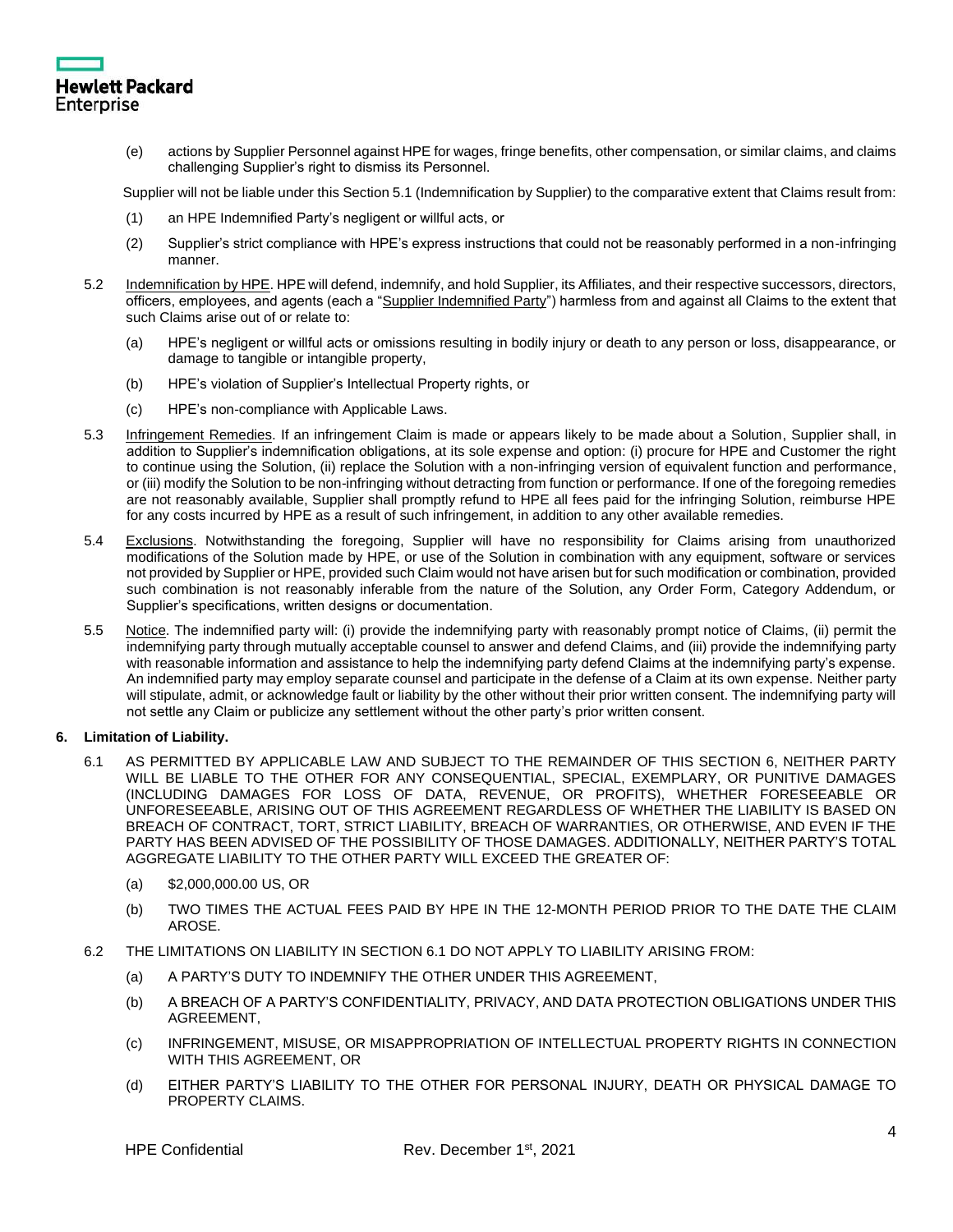

(e) actions by Supplier Personnel against HPE for wages, fringe benefits, other compensation, or similar claims, and claims challenging Supplier's right to dismiss its Personnel.

Supplier will not be liable under this Section 5.1 (Indemnification by Supplier) to the comparative extent that Claims result from:

- (1) an HPE Indemnified Party's negligent or willful acts, or
- (2) Supplier's strict compliance with HPE's express instructions that could not be reasonably performed in a non-infringing manner.
- 5.2 Indemnification by HPE. HPE will defend, indemnify, and hold Supplier, its Affiliates, and their respective successors, directors, officers, employees, and agents (each a "Supplier Indemnified Party") harmless from and against all Claims to the extent that such Claims arise out of or relate to:
	- (a) HPE's negligent or willful acts or omissions resulting in bodily injury or death to any person or loss, disappearance, or damage to tangible or intangible property,
	- (b) HPE's violation of Supplier's Intellectual Property rights, or
	- (c) HPE's non-compliance with Applicable Laws.
- 5.3 Infringement Remedies. If an infringement Claim is made or appears likely to be made about a Solution, Supplier shall, in addition to Supplier's indemnification obligations, at its sole expense and option: (i) procure for HPE and Customer the right to continue using the Solution, (ii) replace the Solution with a non-infringing version of equivalent function and performance, or (iii) modify the Solution to be non-infringing without detracting from function or performance. If one of the foregoing remedies are not reasonably available, Supplier shall promptly refund to HPE all fees paid for the infringing Solution, reimburse HPE for any costs incurred by HPE as a result of such infringement, in addition to any other available remedies.
- 5.4 Exclusions. Notwithstanding the foregoing, Supplier will have no responsibility for Claims arising from unauthorized modifications of the Solution made by HPE, or use of the Solution in combination with any equipment, software or services not provided by Supplier or HPE, provided such Claim would not have arisen but for such modification or combination, provided such combination is not reasonably inferable from the nature of the Solution, any Order Form, Category Addendum, or Supplier's specifications, written designs or documentation.
- 5.5 Notice. The indemnified party will: (i) provide the indemnifying party with reasonably prompt notice of Claims, (ii) permit the indemnifying party through mutually acceptable counsel to answer and defend Claims, and (iii) provide the indemnifying party with reasonable information and assistance to help the indemnifying party defend Claims at the indemnifying party's expense. An indemnified party may employ separate counsel and participate in the defense of a Claim at its own expense. Neither party will stipulate, admit, or acknowledge fault or liability by the other without their prior written consent. The indemnifying party will not settle any Claim or publicize any settlement without the other party's prior written consent.

# **6. Limitation of Liability.**

- 6.1 AS PERMITTED BY APPLICABLE LAW AND SUBJECT TO THE REMAINDER OF THIS SECTION 6, NEITHER PARTY WILL BE LIABLE TO THE OTHER FOR ANY CONSEQUENTIAL, SPECIAL, EXEMPLARY, OR PUNITIVE DAMAGES (INCLUDING DAMAGES FOR LOSS OF DATA, REVENUE, OR PROFITS), WHETHER FORESEEABLE OR UNFORESEEABLE, ARISING OUT OF THIS AGREEMENT REGARDLESS OF WHETHER THE LIABILITY IS BASED ON BREACH OF CONTRACT, TORT, STRICT LIABILITY, BREACH OF WARRANTIES, OR OTHERWISE, AND EVEN IF THE PARTY HAS BEEN ADVISED OF THE POSSIBILITY OF THOSE DAMAGES. ADDITIONALLY, NEITHER PARTY'S TOTAL AGGREGATE LIABILITY TO THE OTHER PARTY WILL EXCEED THE GREATER OF:
	- (a) \$2,000,000.00 US, OR
	- (b) TWO TIMES THE ACTUAL FEES PAID BY HPE IN THE 12-MONTH PERIOD PRIOR TO THE DATE THE CLAIM AROSE.
- 6.2 THE LIMITATIONS ON LIABILITY IN SECTION 6.1 DO NOT APPLY TO LIABILITY ARISING FROM:
	- (a) A PARTY'S DUTY TO INDEMNIFY THE OTHER UNDER THIS AGREEMENT,
	- (b) A BREACH OF A PARTY'S CONFIDENTIALITY, PRIVACY, AND DATA PROTECTION OBLIGATIONS UNDER THIS AGREEMENT,
	- (c) INFRINGEMENT, MISUSE, OR MISAPPROPRIATION OF INTELLECTUAL PROPERTY RIGHTS IN CONNECTION WITH THIS AGREEMENT, OR
	- (d) EITHER PARTY'S LIABILITY TO THE OTHER FOR PERSONAL INJURY, DEATH OR PHYSICAL DAMAGE TO PROPERTY CLAIMS.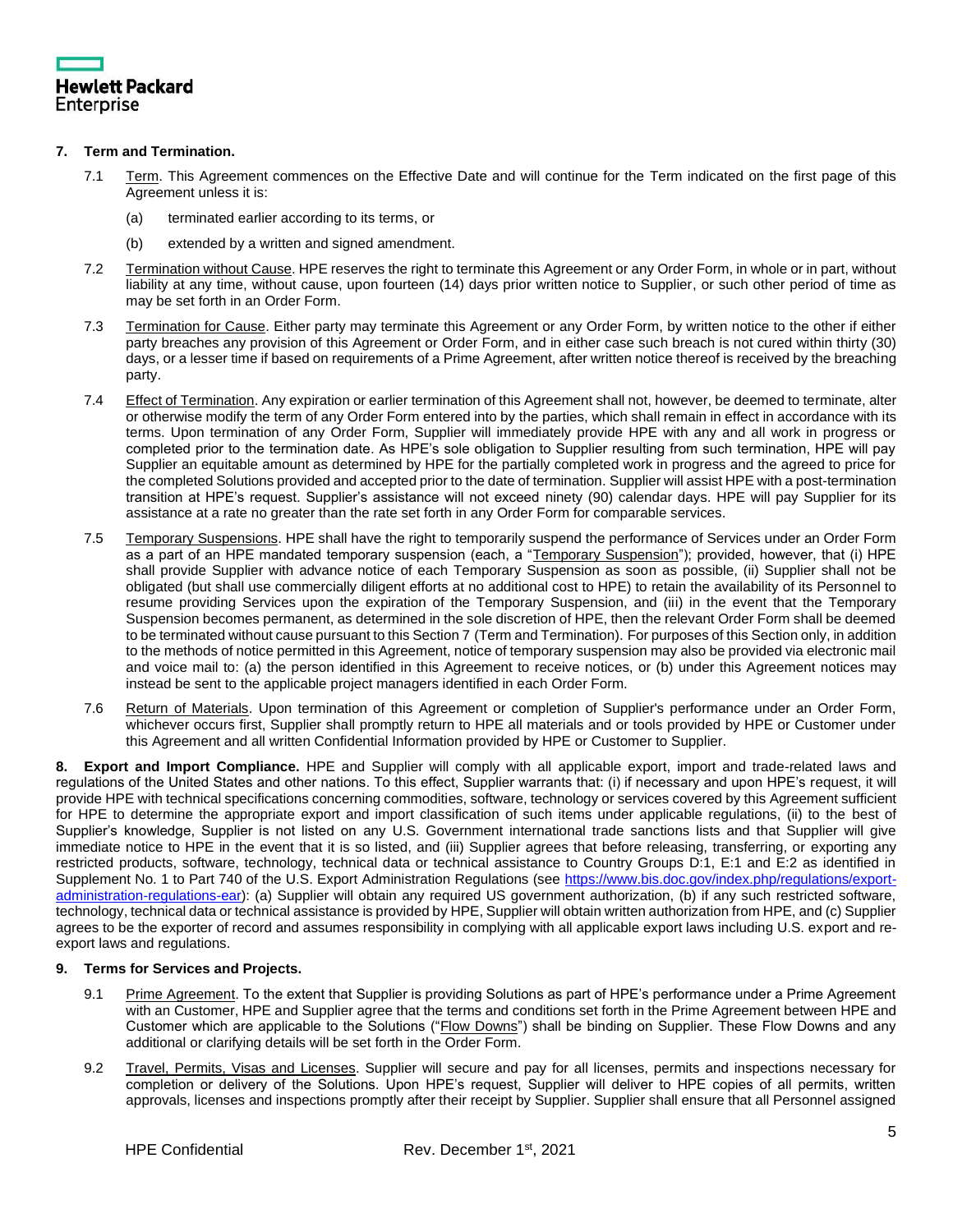

# **7. Term and Termination.**

- 7.1 Term. This Agreement commences on the Effective Date and will continue for the Term indicated on the first page of this Agreement unless it is:
	- (a) terminated earlier according to its terms, or
	- (b) extended by a written and signed amendment.
- 7.2 Termination without Cause. HPE reserves the right to terminate this Agreement or any Order Form, in whole or in part, without liability at any time, without cause, upon fourteen (14) days prior written notice to Supplier, or such other period of time as may be set forth in an Order Form.
- 7.3 Termination for Cause. Either party may terminate this Agreement or any Order Form, by written notice to the other if either party breaches any provision of this Agreement or Order Form, and in either case such breach is not cured within thirty (30) days, or a lesser time if based on requirements of a Prime Agreement, after written notice thereof is received by the breaching party.
- 7.4 Effect of Termination. Any expiration or earlier termination of this Agreement shall not, however, be deemed to terminate, alter or otherwise modify the term of any Order Form entered into by the parties, which shall remain in effect in accordance with its terms. Upon termination of any Order Form, Supplier will immediately provide HPE with any and all work in progress or completed prior to the termination date. As HPE's sole obligation to Supplier resulting from such termination, HPE will pay Supplier an equitable amount as determined by HPE for the partially completed work in progress and the agreed to price for the completed Solutions provided and accepted prior to the date of termination. Supplier will assist HPE with a post-termination transition at HPE's request. Supplier's assistance will not exceed ninety (90) calendar days. HPE will pay Supplier for its assistance at a rate no greater than the rate set forth in any Order Form for comparable services.
- 7.5 Temporary Suspensions. HPE shall have the right to temporarily suspend the performance of Services under an Order Form as a part of an HPE mandated temporary suspension (each, a "Temporary Suspension"); provided, however, that (i) HPE shall provide Supplier with advance notice of each Temporary Suspension as soon as possible, (ii) Supplier shall not be obligated (but shall use commercially diligent efforts at no additional cost to HPE) to retain the availability of its Personnel to resume providing Services upon the expiration of the Temporary Suspension, and (iii) in the event that the Temporary Suspension becomes permanent, as determined in the sole discretion of HPE, then the relevant Order Form shall be deemed to be terminated without cause pursuant to this Section 7 (Term and Termination). For purposes of this Section only, in addition to the methods of notice permitted in this Agreement, notice of temporary suspension may also be provided via electronic mail and voice mail to: (a) the person identified in this Agreement to receive notices, or (b) under this Agreement notices may instead be sent to the applicable project managers identified in each Order Form.
- 7.6 Return of Materials. Upon termination of this Agreement or completion of Supplier's performance under an Order Form, whichever occurs first, Supplier shall promptly return to HPE all materials and or tools provided by HPE or Customer under this Agreement and all written Confidential Information provided by HPE or Customer to Supplier.

**8. Export and Import Compliance.** HPE and Supplier will comply with all applicable export, import and trade-related laws and regulations of the United States and other nations. To this effect, Supplier warrants that: (i) if necessary and upon HPE's request, it will provide HPE with technical specifications concerning commodities, software, technology or services covered by this Agreement sufficient for HPE to determine the appropriate export and import classification of such items under applicable regulations, (ii) to the best of Supplier's knowledge, Supplier is not listed on any U.S. Government international trade sanctions lists and that Supplier will give immediate notice to HPE in the event that it is so listed, and (iii) Supplier agrees that before releasing, transferring, or exporting any restricted products, software, technology, technical data or technical assistance to Country Groups D:1, E:1 and E:2 as identified in Supplement No. 1 to Part 740 of the U.S. Export Administration Regulations (see [https://www.bis.doc.gov/index.php/regulations/export](https://www.bis.doc.gov/index.php/regulations/export-administration-regulations-ear)[administration-regulations-ear\)](https://www.bis.doc.gov/index.php/regulations/export-administration-regulations-ear): (a) Supplier will obtain any required US government authorization, (b) if any such restricted software, technology, technical data or technical assistance is provided by HPE, Supplier will obtain written authorization from HPE, and (c) Supplier agrees to be the exporter of record and assumes responsibility in complying with all applicable export laws including U.S. export and reexport laws and regulations.

# **9. Terms for Services and Projects.**

- 9.1 Prime Agreement. To the extent that Supplier is providing Solutions as part of HPE's performance under a Prime Agreement with an Customer, HPE and Supplier agree that the terms and conditions set forth in the Prime Agreement between HPE and Customer which are applicable to the Solutions ("Flow Downs") shall be binding on Supplier. These Flow Downs and any additional or clarifying details will be set forth in the Order Form.
- 9.2 Travel, Permits, Visas and Licenses. Supplier will secure and pay for all licenses, permits and inspections necessary for completion or delivery of the Solutions. Upon HPE's request, Supplier will deliver to HPE copies of all permits, written approvals, licenses and inspections promptly after their receipt by Supplier. Supplier shall ensure that all Personnel assigned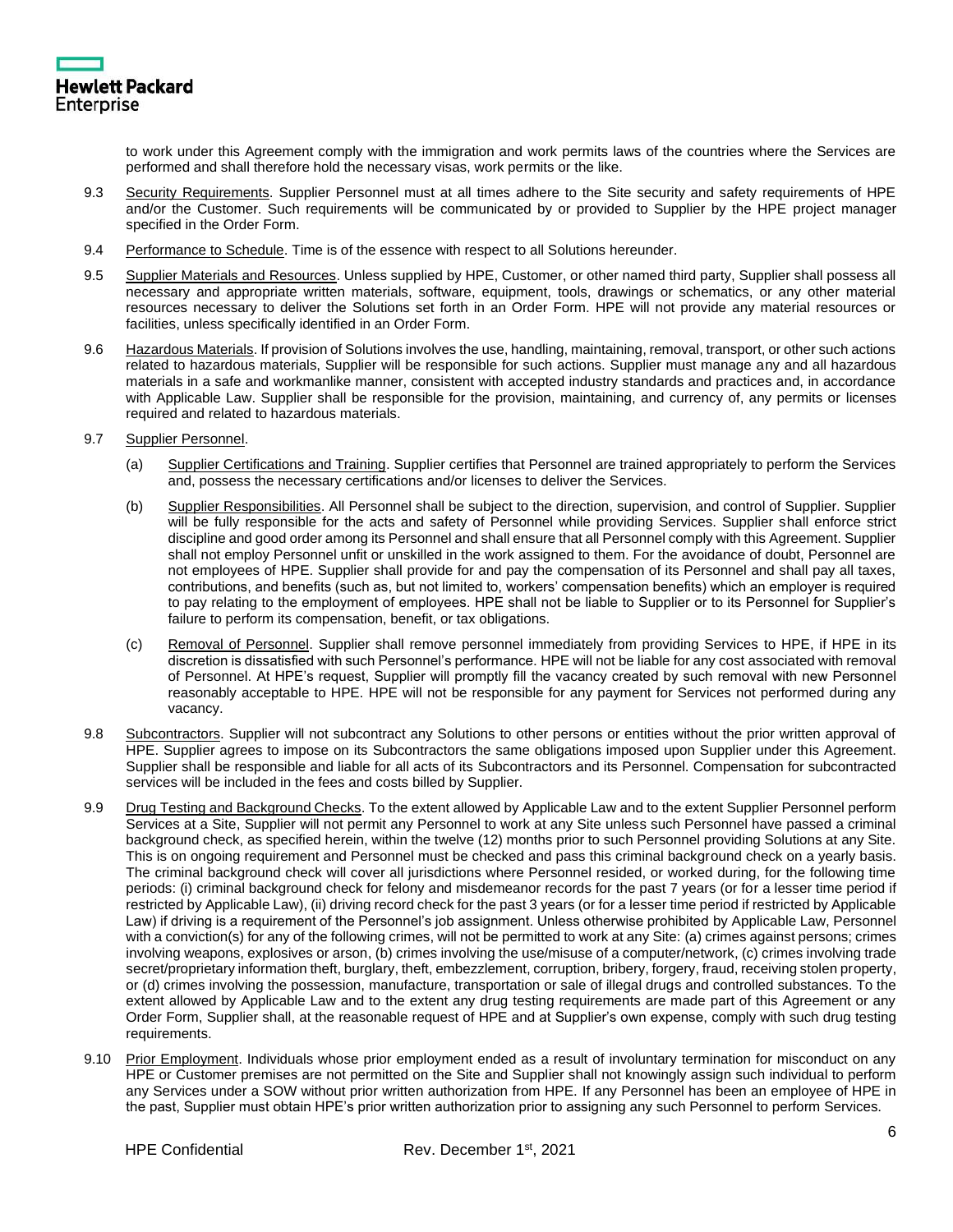

to work under this Agreement comply with the immigration and work permits laws of the countries where the Services are performed and shall therefore hold the necessary visas, work permits or the like.

- 9.3 Security Requirements. Supplier Personnel must at all times adhere to the Site security and safety requirements of HPE and/or the Customer. Such requirements will be communicated by or provided to Supplier by the HPE project manager specified in the Order Form.
- 9.4 Performance to Schedule. Time is of the essence with respect to all Solutions hereunder.
- 9.5 Supplier Materials and Resources. Unless supplied by HPE, Customer, or other named third party, Supplier shall possess all necessary and appropriate written materials, software, equipment, tools, drawings or schematics, or any other material resources necessary to deliver the Solutions set forth in an Order Form. HPE will not provide any material resources or facilities, unless specifically identified in an Order Form.
- 9.6 Hazardous Materials. If provision of Solutions involves the use, handling, maintaining, removal, transport, or other such actions related to hazardous materials, Supplier will be responsible for such actions. Supplier must manage any and all hazardous materials in a safe and workmanlike manner, consistent with accepted industry standards and practices and, in accordance with Applicable Law. Supplier shall be responsible for the provision, maintaining, and currency of, any permits or licenses required and related to hazardous materials.
- 9.7 Supplier Personnel.
	- (a) Supplier Certifications and Training. Supplier certifies that Personnel are trained appropriately to perform the Services and, possess the necessary certifications and/or licenses to deliver the Services.
	- (b) Supplier Responsibilities. All Personnel shall be subject to the direction, supervision, and control of Supplier. Supplier will be fully responsible for the acts and safety of Personnel while providing Services. Supplier shall enforce strict discipline and good order among its Personnel and shall ensure that all Personnel comply with this Agreement. Supplier shall not employ Personnel unfit or unskilled in the work assigned to them. For the avoidance of doubt, Personnel are not employees of HPE. Supplier shall provide for and pay the compensation of its Personnel and shall pay all taxes, contributions, and benefits (such as, but not limited to, workers' compensation benefits) which an employer is required to pay relating to the employment of employees. HPE shall not be liable to Supplier or to its Personnel for Supplier's failure to perform its compensation, benefit, or tax obligations.
	- (c) Removal of Personnel. Supplier shall remove personnel immediately from providing Services to HPE, if HPE in its discretion is dissatisfied with such Personnel's performance. HPE will not be liable for any cost associated with removal of Personnel. At HPE's request, Supplier will promptly fill the vacancy created by such removal with new Personnel reasonably acceptable to HPE. HPE will not be responsible for any payment for Services not performed during any vacancy.
- 9.8 Subcontractors. Supplier will not subcontract any Solutions to other persons or entities without the prior written approval of HPE. Supplier agrees to impose on its Subcontractors the same obligations imposed upon Supplier under this Agreement. Supplier shall be responsible and liable for all acts of its Subcontractors and its Personnel. Compensation for subcontracted services will be included in the fees and costs billed by Supplier.
- 9.9 Drug Testing and Background Checks. To the extent allowed by Applicable Law and to the extent Supplier Personnel perform Services at a Site, Supplier will not permit any Personnel to work at any Site unless such Personnel have passed a criminal background check, as specified herein, within the twelve (12) months prior to such Personnel providing Solutions at any Site. This is on ongoing requirement and Personnel must be checked and pass this criminal background check on a yearly basis. The criminal background check will cover all jurisdictions where Personnel resided, or worked during, for the following time periods: (i) criminal background check for felony and misdemeanor records for the past 7 years (or for a lesser time period if restricted by Applicable Law), (ii) driving record check for the past 3 years (or for a lesser time period if restricted by Applicable Law) if driving is a requirement of the Personnel's job assignment. Unless otherwise prohibited by Applicable Law, Personnel with a conviction(s) for any of the following crimes, will not be permitted to work at any Site: (a) crimes against persons; crimes involving weapons, explosives or arson, (b) crimes involving the use/misuse of a computer/network, (c) crimes involving trade secret/proprietary information theft, burglary, theft, embezzlement, corruption, bribery, forgery, fraud, receiving stolen property, or (d) crimes involving the possession, manufacture, transportation or sale of illegal drugs and controlled substances. To the extent allowed by Applicable Law and to the extent any drug testing requirements are made part of this Agreement or any Order Form, Supplier shall, at the reasonable request of HPE and at Supplier's own expense, comply with such drug testing requirements.
- 9.10 Prior Employment. Individuals whose prior employment ended as a result of involuntary termination for misconduct on any HPE or Customer premises are not permitted on the Site and Supplier shall not knowingly assign such individual to perform any Services under a SOW without prior written authorization from HPE. If any Personnel has been an employee of HPE in the past, Supplier must obtain HPE's prior written authorization prior to assigning any such Personnel to perform Services.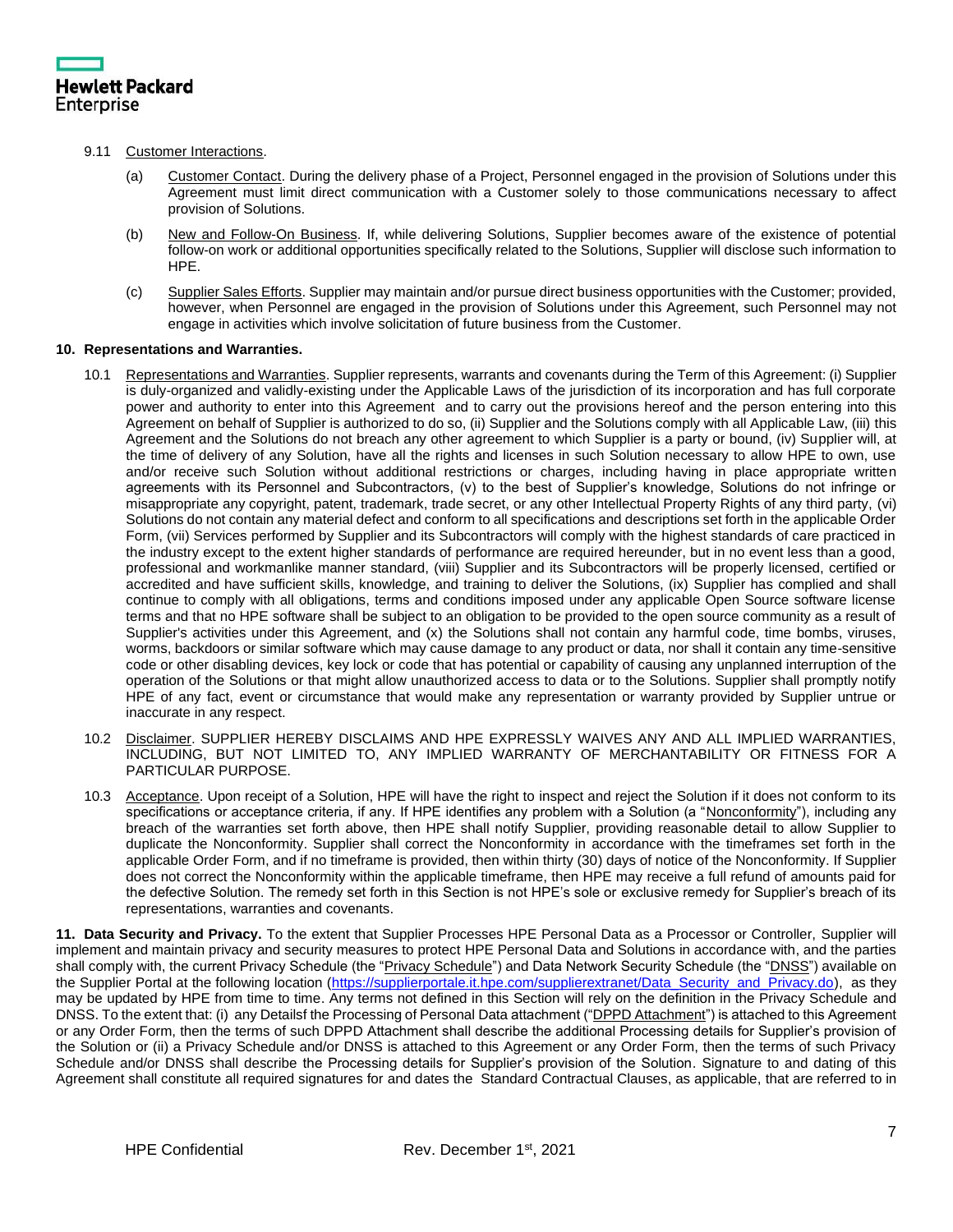

# 9.11 Customer Interactions.

- (a) Customer Contact. During the delivery phase of a Project, Personnel engaged in the provision of Solutions under this Agreement must limit direct communication with a Customer solely to those communications necessary to affect provision of Solutions.
- (b) New and Follow-On Business. If, while delivering Solutions, Supplier becomes aware of the existence of potential follow-on work or additional opportunities specifically related to the Solutions, Supplier will disclose such information to HPE.
- (c) Supplier Sales Efforts. Supplier may maintain and/or pursue direct business opportunities with the Customer; provided, however, when Personnel are engaged in the provision of Solutions under this Agreement, such Personnel may not engage in activities which involve solicitation of future business from the Customer.

# **10. Representations and Warranties.**

- 10.1 Representations and Warranties. Supplier represents, warrants and covenants during the Term of this Agreement: (i) Supplier is duly-organized and validly-existing under the Applicable Laws of the jurisdiction of its incorporation and has full corporate power and authority to enter into this Agreement and to carry out the provisions hereof and the person entering into this Agreement on behalf of Supplier is authorized to do so, (ii) Supplier and the Solutions comply with all Applicable Law, (iii) this Agreement and the Solutions do not breach any other agreement to which Supplier is a party or bound, (iv) Supplier will, at the time of delivery of any Solution, have all the rights and licenses in such Solution necessary to allow HPE to own, use and/or receive such Solution without additional restrictions or charges, including having in place appropriate written agreements with its Personnel and Subcontractors, (v) to the best of Supplier's knowledge, Solutions do not infringe or misappropriate any copyright, patent, trademark, trade secret, or any other Intellectual Property Rights of any third party, (vi) Solutions do not contain any material defect and conform to all specifications and descriptions set forth in the applicable Order Form, (vii) Services performed by Supplier and its Subcontractors will comply with the highest standards of care practiced in the industry except to the extent higher standards of performance are required hereunder, but in no event less than a good, professional and workmanlike manner standard, (viii) Supplier and its Subcontractors will be properly licensed, certified or accredited and have sufficient skills, knowledge, and training to deliver the Solutions, (ix) Supplier has complied and shall continue to comply with all obligations, terms and conditions imposed under any applicable Open Source software license terms and that no HPE software shall be subject to an obligation to be provided to the open source community as a result of Supplier's activities under this Agreement, and (x) the Solutions shall not contain any harmful code, time bombs, viruses, worms, backdoors or similar software which may cause damage to any product or data, nor shall it contain any time-sensitive code or other disabling devices, key lock or code that has potential or capability of causing any unplanned interruption of the operation of the Solutions or that might allow unauthorized access to data or to the Solutions. Supplier shall promptly notify HPE of any fact, event or circumstance that would make any representation or warranty provided by Supplier untrue or inaccurate in any respect.
- 10.2 Disclaimer. SUPPLIER HEREBY DISCLAIMS AND HPE EXPRESSLY WAIVES ANY AND ALL IMPLIED WARRANTIES, INCLUDING, BUT NOT LIMITED TO, ANY IMPLIED WARRANTY OF MERCHANTABILITY OR FITNESS FOR A PARTICULAR PURPOSE.
- 10.3 Acceptance. Upon receipt of a Solution, HPE will have the right to inspect and reject the Solution if it does not conform to its specifications or acceptance criteria, if any. If HPE identifies any problem with a Solution (a "Nonconformity"), including any breach of the warranties set forth above, then HPE shall notify Supplier, providing reasonable detail to allow Supplier to duplicate the Nonconformity. Supplier shall correct the Nonconformity in accordance with the timeframes set forth in the applicable Order Form, and if no timeframe is provided, then within thirty (30) days of notice of the Nonconformity. If Supplier does not correct the Nonconformity within the applicable timeframe, then HPE may receive a full refund of amounts paid for the defective Solution. The remedy set forth in this Section is not HPE's sole or exclusive remedy for Supplier's breach of its representations, warranties and covenants.

**11. Data Security and Privacy.** To the extent that Supplier Processes HPE Personal Data as a Processor or Controller, Supplier will implement and maintain privacy and security measures to protect HPE Personal Data and Solutions in accordance with, and the parties shall comply with, the current Privacy Schedule (the "Privacy Schedule") and Data Network Security Schedule (the "DNSS") available on the Supplier Portal at the following location [\(https://supplierportale.it.hpe.com/supplierextranet/Data\\_Security\\_and\\_Privacy.do\)](https://supplierportale.it.hpe.com/supplierextranet/Data_Security_and_Privacy.do), as they may be updated by HPE from time to time. Any terms not defined in this Section will rely on the definition in the Privacy Schedule and DNSS. To the extent that: (i) any Detailsf the Processing of Personal Data attachment ("DPPD Attachment") is attached to this Agreement or any Order Form, then the terms of such DPPD Attachment shall describe the additional Processing details for Supplier's provision of the Solution or (ii) a Privacy Schedule and/or DNSS is attached to this Agreement or any Order Form, then the terms of such Privacy Schedule and/or DNSS shall describe the Processing details for Supplier's provision of the Solution. Signature to and dating of this Agreement shall constitute all required signatures for and dates the Standard Contractual Clauses, as applicable, that are referred to in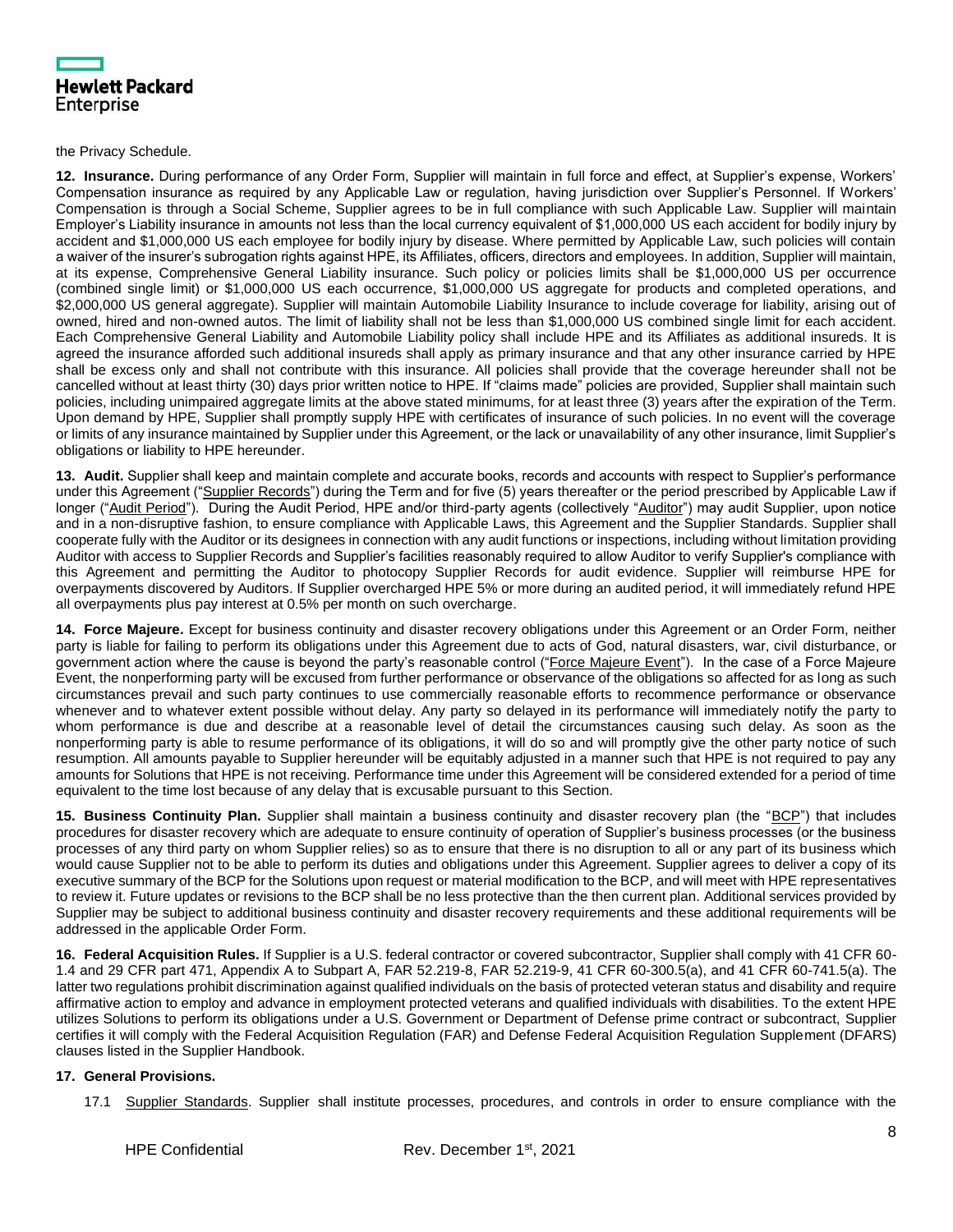|            | <b>Hewlett Packard</b> |
|------------|------------------------|
| Enterprise |                        |

the Privacy Schedule.

**12. Insurance.** During performance of any Order Form, Supplier will maintain in full force and effect, at Supplier's expense, Workers' Compensation insurance as required by any Applicable Law or regulation, having jurisdiction over Supplier's Personnel. If Workers' Compensation is through a Social Scheme, Supplier agrees to be in full compliance with such Applicable Law. Supplier will maintain Employer's Liability insurance in amounts not less than the local currency equivalent of \$1,000,000 US each accident for bodily injury by accident and \$1,000,000 US each employee for bodily injury by disease. Where permitted by Applicable Law, such policies will contain a waiver of the insurer's subrogation rights against HPE, its Affiliates, officers, directors and employees. In addition, Supplier will maintain, at its expense, Comprehensive General Liability insurance. Such policy or policies limits shall be \$1,000,000 US per occurrence (combined single limit) or \$1,000,000 US each occurrence, \$1,000,000 US aggregate for products and completed operations, and \$2,000,000 US general aggregate). Supplier will maintain Automobile Liability Insurance to include coverage for liability, arising out of owned, hired and non-owned autos. The limit of liability shall not be less than \$1,000,000 US combined single limit for each accident. Each Comprehensive General Liability and Automobile Liability policy shall include HPE and its Affiliates as additional insureds. It is agreed the insurance afforded such additional insureds shall apply as primary insurance and that any other insurance carried by HPE shall be excess only and shall not contribute with this insurance. All policies shall provide that the coverage hereunder shall not be cancelled without at least thirty (30) days prior written notice to HPE. If "claims made" policies are provided, Supplier shall maintain such policies, including unimpaired aggregate limits at the above stated minimums, for at least three (3) years after the expiration of the Term. Upon demand by HPE, Supplier shall promptly supply HPE with certificates of insurance of such policies. In no event will the coverage or limits of any insurance maintained by Supplier under this Agreement, or the lack or unavailability of any other insurance, limit Supplier's obligations or liability to HPE hereunder.

**13. Audit.** Supplier shall keep and maintain complete and accurate books, records and accounts with respect to Supplier's performance under this Agreement ("Supplier Records") during the Term and for five (5) years thereafter or the period prescribed by Applicable Law if longer ("Audit Period"). During the Audit Period, HPE and/or third-party agents (collectively "Auditor") may audit Supplier, upon notice and in a non-disruptive fashion, to ensure compliance with Applicable Laws, this Agreement and the Supplier Standards. Supplier shall cooperate fully with the Auditor or its designees in connection with any audit functions or inspections, including without limitation providing Auditor with access to Supplier Records and Supplier's facilities reasonably required to allow Auditor to verify Supplier's compliance with this Agreement and permitting the Auditor to photocopy Supplier Records for audit evidence. Supplier will reimburse HPE for overpayments discovered by Auditors. If Supplier overcharged HPE 5% or more during an audited period, it will immediately refund HPE all overpayments plus pay interest at 0.5% per month on such overcharge.

**14. Force Majeure.** Except for business continuity and disaster recovery obligations under this Agreement or an Order Form, neither party is liable for failing to perform its obligations under this Agreement due to acts of God, natural disasters, war, civil disturbance, or government action where the cause is beyond the party's reasonable control ("Force Majeure Event"). In the case of a Force Majeure Event, the nonperforming party will be excused from further performance or observance of the obligations so affected for as long as such circumstances prevail and such party continues to use commercially reasonable efforts to recommence performance or observance whenever and to whatever extent possible without delay. Any party so delayed in its performance will immediately notify the party to whom performance is due and describe at a reasonable level of detail the circumstances causing such delay. As soon as the nonperforming party is able to resume performance of its obligations, it will do so and will promptly give the other party notice of such resumption. All amounts payable to Supplier hereunder will be equitably adjusted in a manner such that HPE is not required to pay any amounts for Solutions that HPE is not receiving. Performance time under this Agreement will be considered extended for a period of time equivalent to the time lost because of any delay that is excusable pursuant to this Section.

**15. Business Continuity Plan.** Supplier shall maintain a business continuity and disaster recovery plan (the "BCP") that includes procedures for disaster recovery which are adequate to ensure continuity of operation of Supplier's business processes (or the business processes of any third party on whom Supplier relies) so as to ensure that there is no disruption to all or any part of its business which would cause Supplier not to be able to perform its duties and obligations under this Agreement. Supplier agrees to deliver a copy of its executive summary of the BCP for the Solutions upon request or material modification to the BCP, and will meet with HPE representatives to review it. Future updates or revisions to the BCP shall be no less protective than the then current plan. Additional services provided by Supplier may be subject to additional business continuity and disaster recovery requirements and these additional requirements will be addressed in the applicable Order Form.

**16. Federal Acquisition Rules.** If Supplier is a U.S. federal contractor or covered subcontractor, Supplier shall comply with 41 CFR 60- 1.4 and 29 CFR part 471, Appendix A to Subpart A, FAR 52.219-8, FAR 52.219-9, 41 CFR 60-300.5(a), and 41 CFR 60-741.5(a). The latter two regulations prohibit discrimination against qualified individuals on the basis of protected veteran status and disability and require affirmative action to employ and advance in employment protected veterans and qualified individuals with disabilities. To the extent HPE utilizes Solutions to perform its obligations under a U.S. Government or Department of Defense prime contract or subcontract, Supplier certifies it will comply with the Federal Acquisition Regulation (FAR) and Defense Federal Acquisition Regulation Supplement (DFARS) clauses listed in the Supplier Handbook.

# **17. General Provisions.**

17.1 Supplier Standards. Supplier shall institute processes, procedures, and controls in order to ensure compliance with the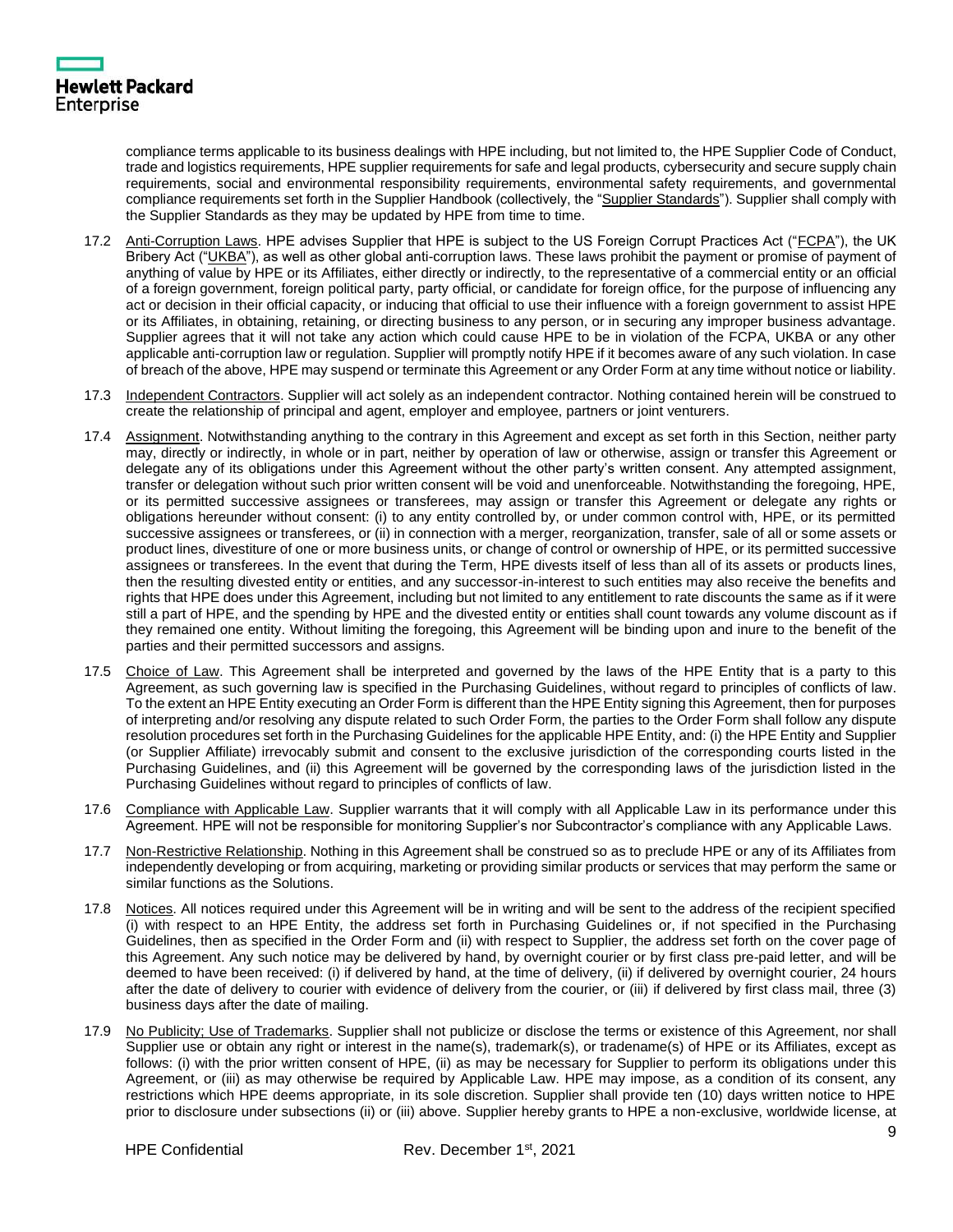compliance terms applicable to its business dealings with HPE including, but not limited to, the HPE Supplier Code of Conduct, trade and logistics requirements, HPE supplier requirements for safe and legal products, cybersecurity and secure supply chain requirements, social and environmental responsibility requirements, environmental safety requirements, and governmental compliance requirements set forth in the Supplier Handbook (collectively, the "Supplier Standards"). Supplier shall comply with the Supplier Standards as they may be updated by HPE from time to time.

- 17.2 Anti-Corruption Laws. HPE advises Supplier that HPE is subject to the US Foreign Corrupt Practices Act ("FCPA"), the UK Bribery Act ("UKBA"), as well as other global anti-corruption laws. These laws prohibit the payment or promise of payment of anything of value by HPE or its Affiliates, either directly or indirectly, to the representative of a commercial entity or an official of a foreign government, foreign political party, party official, or candidate for foreign office, for the purpose of influencing any act or decision in their official capacity, or inducing that official to use their influence with a foreign government to assist HPE or its Affiliates, in obtaining, retaining, or directing business to any person, or in securing any improper business advantage. Supplier agrees that it will not take any action which could cause HPE to be in violation of the FCPA, UKBA or any other applicable anti-corruption law or regulation. Supplier will promptly notify HPE if it becomes aware of any such violation. In case of breach of the above, HPE may suspend or terminate this Agreement or any Order Form at any time without notice or liability.
- 17.3 Independent Contractors. Supplier will act solely as an independent contractor. Nothing contained herein will be construed to create the relationship of principal and agent, employer and employee, partners or joint venturers.
- 17.4 Assignment. Notwithstanding anything to the contrary in this Agreement and except as set forth in this Section, neither party may, directly or indirectly, in whole or in part, neither by operation of law or otherwise, assign or transfer this Agreement or delegate any of its obligations under this Agreement without the other party's written consent. Any attempted assignment, transfer or delegation without such prior written consent will be void and unenforceable. Notwithstanding the foregoing, HPE, or its permitted successive assignees or transferees, may assign or transfer this Agreement or delegate any rights or obligations hereunder without consent: (i) to any entity controlled by, or under common control with, HPE, or its permitted successive assignees or transferees, or (ii) in connection with a merger, reorganization, transfer, sale of all or some assets or product lines, divestiture of one or more business units, or change of control or ownership of HPE, or its permitted successive assignees or transferees. In the event that during the Term, HPE divests itself of less than all of its assets or products lines, then the resulting divested entity or entities, and any successor-in-interest to such entities may also receive the benefits and rights that HPE does under this Agreement, including but not limited to any entitlement to rate discounts the same as if it were still a part of HPE, and the spending by HPE and the divested entity or entities shall count towards any volume discount as if they remained one entity. Without limiting the foregoing, this Agreement will be binding upon and inure to the benefit of the parties and their permitted successors and assigns.
- 17.5 Choice of Law. This Agreement shall be interpreted and governed by the laws of the HPE Entity that is a party to this Agreement, as such governing law is specified in the Purchasing Guidelines, without regard to principles of conflicts of law. To the extent an HPE Entity executing an Order Form is different than the HPE Entity signing this Agreement, then for purposes of interpreting and/or resolving any dispute related to such Order Form, the parties to the Order Form shall follow any dispute resolution procedures set forth in the Purchasing Guidelines for the applicable HPE Entity, and: (i) the HPE Entity and Supplier (or Supplier Affiliate) irrevocably submit and consent to the exclusive jurisdiction of the corresponding courts listed in the Purchasing Guidelines, and (ii) this Agreement will be governed by the corresponding laws of the jurisdiction listed in the Purchasing Guidelines without regard to principles of conflicts of law.
- 17.6 Compliance with Applicable Law. Supplier warrants that it will comply with all Applicable Law in its performance under this Agreement. HPE will not be responsible for monitoring Supplier's nor Subcontractor's compliance with any Applicable Laws.
- 17.7 Non-Restrictive Relationship. Nothing in this Agreement shall be construed so as to preclude HPE or any of its Affiliates from independently developing or from acquiring, marketing or providing similar products or services that may perform the same or similar functions as the Solutions.
- 17.8 Notices. All notices required under this Agreement will be in writing and will be sent to the address of the recipient specified (i) with respect to an HPE Entity, the address set forth in Purchasing Guidelines or, if not specified in the Purchasing Guidelines, then as specified in the Order Form and (ii) with respect to Supplier, the address set forth on the cover page of this Agreement. Any such notice may be delivered by hand, by overnight courier or by first class pre-paid letter, and will be deemed to have been received: (i) if delivered by hand, at the time of delivery, (ii) if delivered by overnight courier, 24 hours after the date of delivery to courier with evidence of delivery from the courier, or (iii) if delivered by first class mail, three (3) business days after the date of mailing.
- 17.9 No Publicity; Use of Trademarks. Supplier shall not publicize or disclose the terms or existence of this Agreement, nor shall Supplier use or obtain any right or interest in the name(s), trademark(s), or tradename(s) of HPE or its Affiliates, except as follows: (i) with the prior written consent of HPE, (ii) as may be necessary for Supplier to perform its obligations under this Agreement, or (iii) as may otherwise be required by Applicable Law. HPE may impose, as a condition of its consent, any restrictions which HPE deems appropriate, in its sole discretion. Supplier shall provide ten (10) days written notice to HPE prior to disclosure under subsections (ii) or (iii) above. Supplier hereby grants to HPE a non-exclusive, worldwide license, at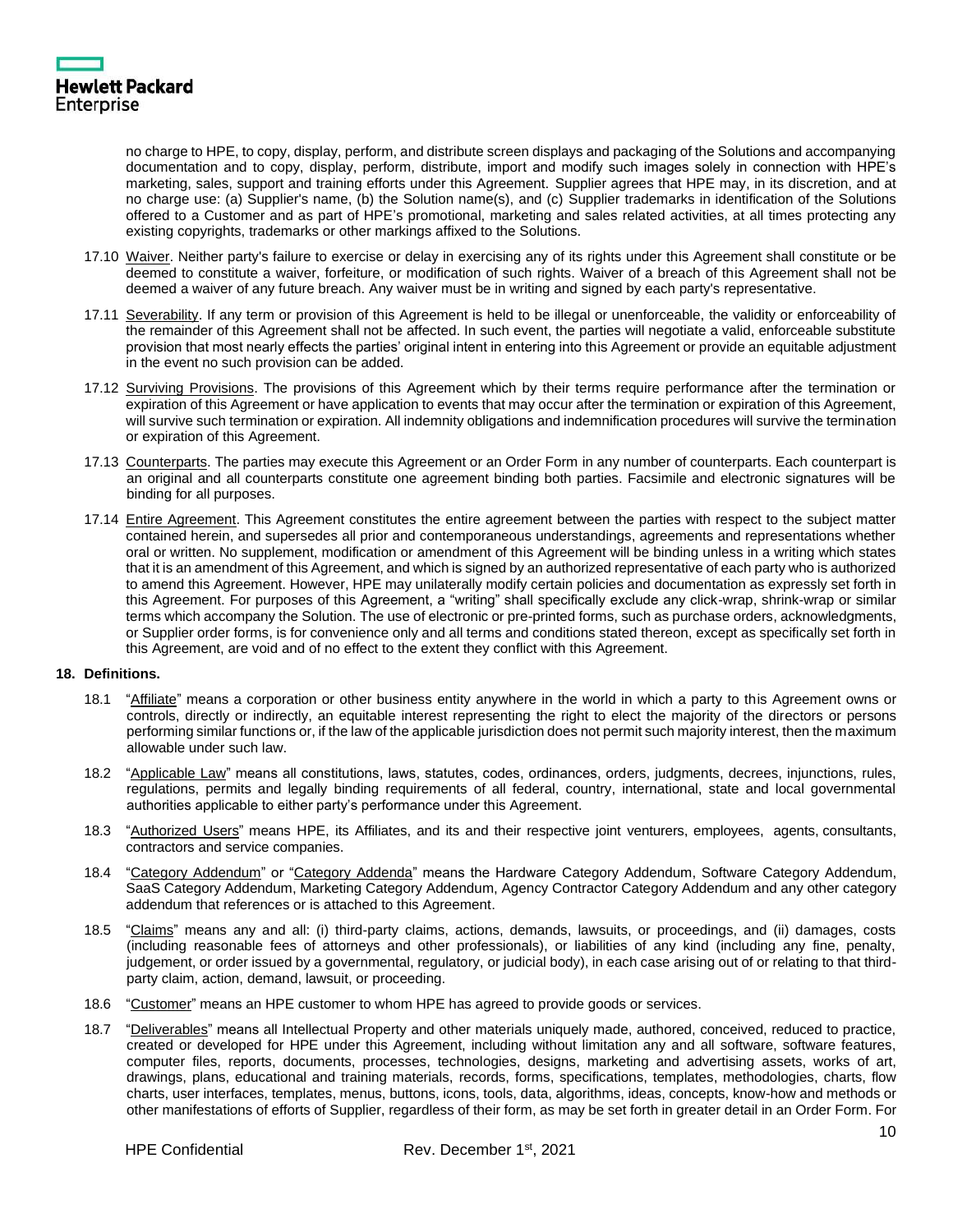

no charge to HPE, to copy, display, perform, and distribute screen displays and packaging of the Solutions and accompanying documentation and to copy, display, perform, distribute, import and modify such images solely in connection with HPE's marketing, sales, support and training efforts under this Agreement. Supplier agrees that HPE may, in its discretion, and at no charge use: (a) Supplier's name, (b) the Solution name(s), and (c) Supplier trademarks in identification of the Solutions offered to a Customer and as part of HPE's promotional, marketing and sales related activities, at all times protecting any existing copyrights, trademarks or other markings affixed to the Solutions.

- 17.10 Waiver. Neither party's failure to exercise or delay in exercising any of its rights under this Agreement shall constitute or be deemed to constitute a waiver, forfeiture, or modification of such rights. Waiver of a breach of this Agreement shall not be deemed a waiver of any future breach. Any waiver must be in writing and signed by each party's representative.
- 17.11 Severability. If any term or provision of this Agreement is held to be illegal or unenforceable, the validity or enforceability of the remainder of this Agreement shall not be affected. In such event, the parties will negotiate a valid, enforceable substitute provision that most nearly effects the parties' original intent in entering into this Agreement or provide an equitable adjustment in the event no such provision can be added.
- 17.12 Surviving Provisions. The provisions of this Agreement which by their terms require performance after the termination or expiration of this Agreement or have application to events that may occur after the termination or expiration of this Agreement, will survive such termination or expiration. All indemnity obligations and indemnification procedures will survive the termination or expiration of this Agreement.
- 17.13 Counterparts. The parties may execute this Agreement or an Order Form in any number of counterparts. Each counterpart is an original and all counterparts constitute one agreement binding both parties. Facsimile and electronic signatures will be binding for all purposes.
- 17.14 Entire Agreement. This Agreement constitutes the entire agreement between the parties with respect to the subject matter contained herein, and supersedes all prior and contemporaneous understandings, agreements and representations whether oral or written. No supplement, modification or amendment of this Agreement will be binding unless in a writing which states that it is an amendment of this Agreement, and which is signed by an authorized representative of each party who is authorized to amend this Agreement. However, HPE may unilaterally modify certain policies and documentation as expressly set forth in this Agreement. For purposes of this Agreement, a "writing" shall specifically exclude any click-wrap, shrink-wrap or similar terms which accompany the Solution. The use of electronic or pre-printed forms, such as purchase orders, acknowledgments, or Supplier order forms, is for convenience only and all terms and conditions stated thereon, except as specifically set forth in this Agreement, are void and of no effect to the extent they conflict with this Agreement.

#### **18. Definitions.**

- 18.1 "Affiliate" means a corporation or other business entity anywhere in the world in which a party to this Agreement owns or controls, directly or indirectly, an equitable interest representing the right to elect the majority of the directors or persons performing similar functions or, if the law of the applicable jurisdiction does not permit such majority interest, then the maximum allowable under such law.
- 18.2 "Applicable Law" means all constitutions, laws, statutes, codes, ordinances, orders, judgments, decrees, injunctions, rules, regulations, permits and legally binding requirements of all federal, country, international, state and local governmental authorities applicable to either party's performance under this Agreement.
- 18.3 "Authorized Users" means HPE, its Affiliates, and its and their respective joint venturers, employees, agents, consultants, contractors and service companies.
- 18.4 "Category Addendum" or "Category Addenda" means the Hardware Category Addendum, Software Category Addendum, SaaS Category Addendum, Marketing Category Addendum, Agency Contractor Category Addendum and any other category addendum that references or is attached to this Agreement.
- 18.5 "Claims" means any and all: (i) third-party claims, actions, demands, lawsuits, or proceedings, and (ii) damages, costs (including reasonable fees of attorneys and other professionals), or liabilities of any kind (including any fine, penalty, judgement, or order issued by a governmental, regulatory, or judicial body), in each case arising out of or relating to that thirdparty claim, action, demand, lawsuit, or proceeding.
- 18.6 "Customer" means an HPE customer to whom HPE has agreed to provide goods or services.
- 18.7 "Deliverables" means all Intellectual Property and other materials uniquely made, authored, conceived, reduced to practice, created or developed for HPE under this Agreement, including without limitation any and all software, software features, computer files, reports, documents, processes, technologies, designs, marketing and advertising assets, works of art, drawings, plans, educational and training materials, records, forms, specifications, templates, methodologies, charts, flow charts, user interfaces, templates, menus, buttons, icons, tools, data, algorithms, ideas, concepts, know-how and methods or other manifestations of efforts of Supplier, regardless of their form, as may be set forth in greater detail in an Order Form. For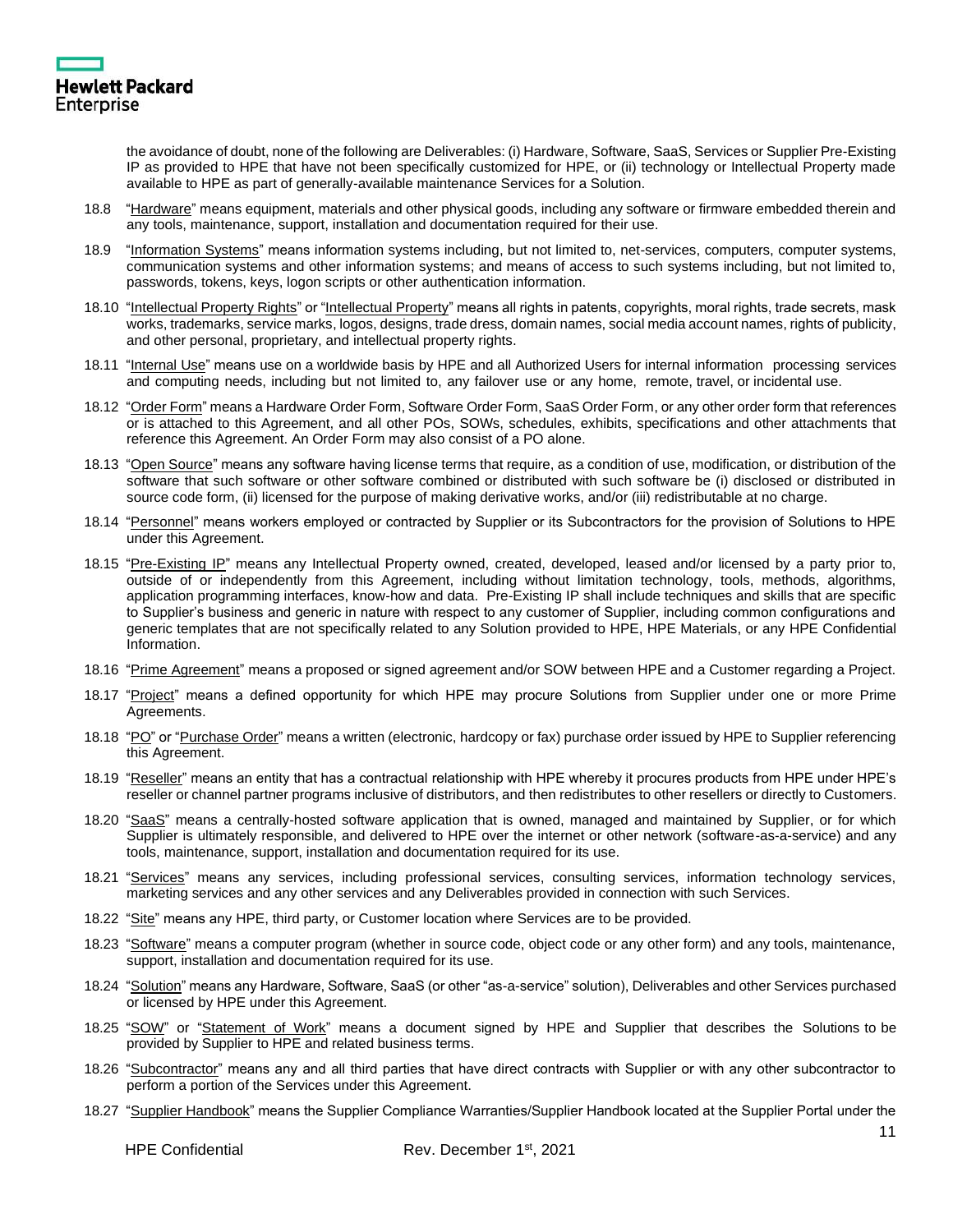

the avoidance of doubt, none of the following are Deliverables: (i) Hardware, Software, SaaS, Services or Supplier Pre-Existing IP as provided to HPE that have not been specifically customized for HPE, or (ii) technology or Intellectual Property made available to HPE as part of generally-available maintenance Services for a Solution.

- 18.8 "Hardware" means equipment, materials and other physical goods, including any software or firmware embedded therein and any tools, maintenance, support, installation and documentation required for their use.
- 18.9 "Information Systems" means information systems including, but not limited to, net-services, computers, computer systems, communication systems and other information systems; and means of access to such systems including, but not limited to, passwords, tokens, keys, logon scripts or other authentication information.
- 18.10 "Intellectual Property Rights" or "Intellectual Property" means all rights in patents, copyrights, moral rights, trade secrets, mask works, trademarks, service marks, logos, designs, trade dress, domain names, social media account names, rights of publicity, and other personal, proprietary, and intellectual property rights.
- 18.11 "Internal Use" means use on a worldwide basis by HPE and all Authorized Users for internal information processing services and computing needs, including but not limited to, any failover use or any home, remote, travel, or incidental use.
- 18.12 "Order Form" means a Hardware Order Form, Software Order Form, SaaS Order Form, or any other order form that references or is attached to this Agreement, and all other POs, SOWs, schedules, exhibits, specifications and other attachments that reference this Agreement. An Order Form may also consist of a PO alone.
- 18.13 "Open Source" means any software having license terms that require, as a condition of use, modification, or distribution of the software that such software or other software combined or distributed with such software be (i) disclosed or distributed in source code form, (ii) licensed for the purpose of making derivative works, and/or (iii) redistributable at no charge.
- 18.14 "Personnel" means workers employed or contracted by Supplier or its Subcontractors for the provision of Solutions to HPE under this Agreement.
- 18.15 "Pre-Existing IP" means any Intellectual Property owned, created, developed, leased and/or licensed by a party prior to, outside of or independently from this Agreement, including without limitation technology, tools, methods, algorithms, application programming interfaces, know-how and data. Pre-Existing IP shall include techniques and skills that are specific to Supplier's business and generic in nature with respect to any customer of Supplier, including common configurations and generic templates that are not specifically related to any Solution provided to HPE, HPE Materials, or any HPE Confidential Information.
- 18.16 "Prime Agreement" means a proposed or signed agreement and/or SOW between HPE and a Customer regarding a Project.
- 18.17 "Project" means a defined opportunity for which HPE may procure Solutions from Supplier under one or more Prime Agreements.
- 18.18 "PO" or "Purchase Order" means a written (electronic, hardcopy or fax) purchase order issued by HPE to Supplier referencing this Agreement.
- 18.19 "Reseller" means an entity that has a contractual relationship with HPE whereby it procures products from HPE under HPE's reseller or channel partner programs inclusive of distributors, and then redistributes to other resellers or directly to Customers.
- 18.20 "SaaS" means a centrally-hosted software application that is owned, managed and maintained by Supplier, or for which Supplier is ultimately responsible, and delivered to HPE over the internet or other network (software-as-a-service) and any tools, maintenance, support, installation and documentation required for its use.
- 18.21 "Services" means any services, including professional services, consulting services, information technology services, marketing services and any other services and any Deliverables provided in connection with such Services.
- 18.22 "Site" means any HPE, third party, or Customer location where Services are to be provided.
- 18.23 "Software" means a computer program (whether in source code, object code or any other form) and any tools, maintenance, support, installation and documentation required for its use.
- 18.24 "Solution" means any Hardware, Software, SaaS (or other "as-a-service" solution), Deliverables and other Services purchased or licensed by HPE under this Agreement.
- 18.25 "SOW" or "Statement of Work" means a document signed by HPE and Supplier that describes the Solutions to be provided by Supplier to HPE and related business terms.
- 18.26 "Subcontractor" means any and all third parties that have direct contracts with Supplier or with any other subcontractor to perform a portion of the Services under this Agreement.
- 18.27 "Supplier Handbook" means the Supplier Compliance Warranties/Supplier Handbook located at the Supplier Portal under the